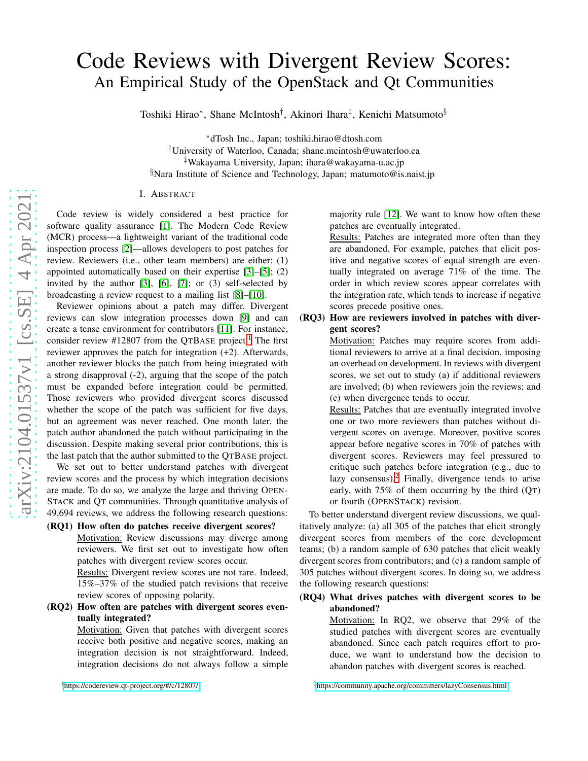# Code Reviews with Divergent Review Scores: An Empirical Study of the OpenStack and Qt Communities

Toshiki Hirao\*, Shane McIntosh<sup>†</sup>, Akinori Ihara<sup>‡</sup>, Kenichi Matsumoto<sup>§</sup>

<sup>∗</sup>dTosh Inc., Japan; toshiki.hirao@dtosh.com

†University of Waterloo, Canada; shane.mcintosh@uwaterloo.ca

‡Wakayama University, Japan; ihara@wakayama-u.ac.jp

 $\delta$ Nara Institute of Science and Technology, Japan; matumoto@is.naist.jp

#### I. ABSTRACT

Code review is widely considered a best practice for software quality assurance [\[1\]](#page-1-0). The Modern Code Review (MCR) process—a lightweight variant of the traditional code inspection process [\[2\]](#page-1-1)—allows developers to post patches for review. Reviewers (i.e., other team members) are either: (1) appointed automatically based on their expertise [\[3\]](#page-1-2)–[\[5\]](#page-1-3); (2) invited by the author [\[3\]](#page-1-2), [\[6\]](#page-1-4), [\[7\]](#page-1-5); or (3) self-selected by broadcasting a review request to a mailing list [\[8\]](#page-1-6)–[\[10\]](#page-1-7).

Reviewer opinions about a patch may differ. Divergent reviews can slow integration processes down [\[9\]](#page-1-8) and can create a tense environment for contributors [\[11\]](#page-1-9). For instance, consider review #[1](#page-0-0)2807 from the QTBASE project.<sup>1</sup> The first reviewer approves the patch for integration (+2). Afterwards, another reviewer blocks the patch from being integrated with a strong disapproval (-2), arguing that the scope of the patch must be expanded before integration could be permitted. Those reviewers who provided divergent scores discussed whether the scope of the patch was sufficient for five days, but an agreement was never reached. One month later, the patch author abandoned the patch without participating in the discussion. Despite making several prior contributions, this is the last patch that the author submitted to the QTBASE project.

We set out to better understand patches with divergent review scores and the process by which integration decisions are made. To do so, we analyze the large and thriving OPEN-STACK and QT communities. Through quantitative analysis of 49,694 reviews, we address the following research questions:

#### (RQ1) How often do patches receive divergent scores?

Motivation: Review discussions may diverge among reviewers. We first set out to investigate how often patches with divergent review scores occur.

Results: Divergent review scores are not rare. Indeed, 15%–37% of the studied patch revisions that receive review scores of opposing polarity.

(RQ2) How often are patches with divergent scores eventually integrated?

Motivation: Given that patches with divergent scores receive both positive and negative scores, making an integration decision is not straightforward. Indeed, integration decisions do not always follow a simple

<span id="page-0-0"></span><sup>1</sup><https://codereview.qt-project.org/#/c/12807/>

majority rule [\[12\]](#page-1-10). We want to know how often these patches are eventually integrated.

Results: Patches are integrated more often than they are abandoned. For example, patches that elicit positive and negative scores of equal strength are eventually integrated on average 71% of the time. The order in which review scores appear correlates with the integration rate, which tends to increase if negative scores precede positive ones.

### (RQ3) How are reviewers involved in patches with divergent scores?

Motivation: Patches may require scores from additional reviewers to arrive at a final decision, imposing an overhead on development. In reviews with divergent scores, we set out to study (a) if additional reviewers are involved; (b) when reviewers join the reviews; and (c) when divergence tends to occur.

Results: Patches that are eventually integrated involve one or two more reviewers than patches without divergent scores on average. Moreover, positive scores appear before negative scores in 70% of patches with divergent scores. Reviewers may feel pressured to critique such patches before integration (e.g., due to lazy consensus).<sup>[2](#page-0-1)</sup> Finally, divergence tends to arise early, with  $75\%$  of them occurring by the third  $(OT)$ or fourth (OPENSTACK) revision.

To better understand divergent review discussions, we qualitatively analyze: (a) all 305 of the patches that elicit strongly divergent scores from members of the core development teams; (b) a random sample of 630 patches that elicit weakly divergent scores from contributors; and (c) a random sample of 305 patches without divergent scores. In doing so, we address the following research questions:

#### (RQ4) What drives patches with divergent scores to be abandoned?

Motivation: In RQ2, we observe that 29% of the studied patches with divergent scores are eventually abandoned. Since each patch requires effort to produce, we want to understand how the decision to abandon patches with divergent scores is reached.

<span id="page-0-1"></span><sup>2</sup><https://community.apache.org/committers/lazyConsensus.html>